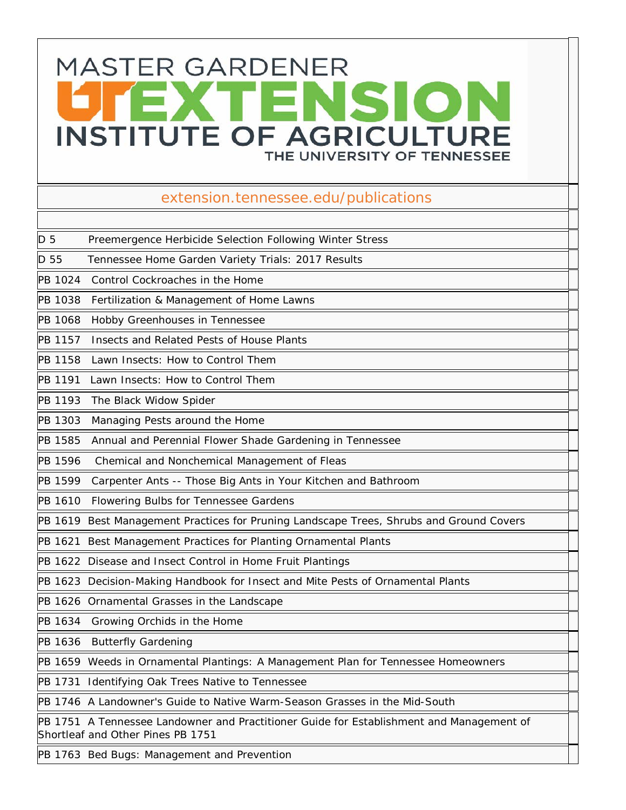## **MASTER GARDENER** TENSION **INSTITUTE OF AGRICULTURE** THE UNIVERSITY OF TENNESSEE

## extension.tennessee.edu/publications

D 5 Preemergence Herbicide Selection Following Winter Stress

D 55 Tennessee Home Garden Variety Trials: 2017 Results

PB 1024 Control Cockroaches in the Home

PB 1038 Fertilization & Management of Home Lawns

PB 1068 Hobby Greenhouses in Tennessee

PB 1157 Insects and Related Pests of House Plants

PB 1158 Lawn Insects: How to Control Them

PB 1191 Lawn Insects: How to Control Them

PB 1193 The Black Widow Spider

PB 1303 Managing Pests around the Home

PB 1585 Annual and Perennial Flower Shade Gardening in Tennessee

PB 1596 Chemical and Nonchemical Management of Fleas

PB 1599 Carpenter Ants -- Those Big Ants in Your Kitchen and Bathroom

PB 1610 Flowering Bulbs for Tennessee Gardens

PB 1619 Best Management Practices for Pruning Landscape Trees, Shrubs and Ground Covers

PB 1621 Best Management Practices for Planting Ornamental Plants

PB 1622 Disease and Insect Control in Home Fruit Plantings

PB 1623 Decision-Making Handbook for Insect and Mite Pests of Ornamental Plants

PB 1626 Ornamental Grasses in the Landscape

PB 1634 Growing Orchids in the Home

PB 1636 Butterfly Gardening

PB 1659 Weeds in Ornamental Plantings: A Management Plan for Tennessee Homeowners

PB 1731 Identifying Oak Trees Native to Tennessee

PB 1746 A Landowner's Guide to Native Warm-Season Grasses in the Mid-South

PB 1751 A Tennessee Landowner and Practitioner Guide for Establishment and Management of Shortleaf and Other Pines PB 1751

PB 1763 Bed Bugs: Management and Prevention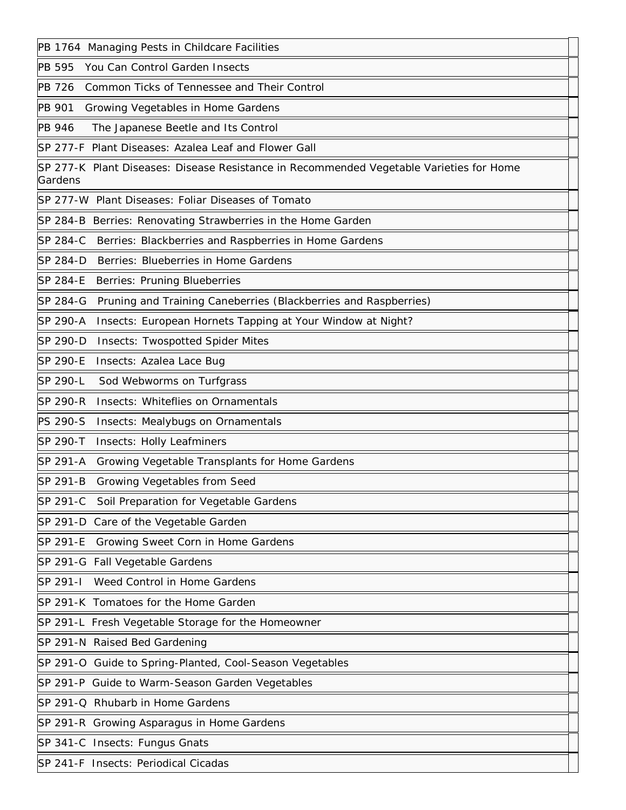PB 1764 Managing Pests in Childcare Facilities PB 595 You Can Control Garden Insects PB 726 Common Ticks of Tennessee and Their Control PB 901 Growing Vegetables in Home Gardens PB 946 The Japanese Beetle and Its Control SP 277-F Plant Diseases: Azalea Leaf and Flower Gall SP 277-K Plant Diseases: Disease Resistance in Recommended Vegetable Varieties for Home Gardens SP 277-W Plant Diseases: Foliar Diseases of Tomato SP 284-B Berries: Renovating Strawberries in the Home Garden SP 284-C Berries: Blackberries and Raspberries in Home Gardens SP 284-D Berries: Blueberries in Home Gardens SP 284-E Berries: Pruning Blueberries SP 284-G Pruning and Training Caneberries (Blackberries and Raspberries) SP 290-A Insects: European Hornets Tapping at Your Window at Night? SP 290-D Insects: Twospotted Spider Mites SP 290-E Insects: Azalea Lace Bug SP 290-L Sod Webworms on Turfgrass SP 290-R Insects: Whiteflies on Ornamentals PS 290-S Insects: Mealybugs on Ornamentals SP 290-T Insects: Holly Leafminers SP 291-A Growing Vegetable Transplants for Home Gardens SP 291-B Growing Vegetables from Seed SP 291-C Soil Preparation for Vegetable Gardens SP 291-D Care of the Vegetable Garden SP 291-E Growing Sweet Corn in Home Gardens SP 291-G Fall Vegetable Gardens SP 291-I Weed Control in Home Gardens SP 291-K Tomatoes for the Home Garden SP 291-L Fresh Vegetable Storage for the Homeowner SP 291-N Raised Bed Gardening SP 291-O Guide to Spring-Planted, Cool-Season Vegetables SP 291-P Guide to Warm-Season Garden Vegetables SP 291-Q Rhubarb in Home Gardens SP 291-R Growing Asparagus in Home Gardens SP 341-C Insects: Fungus Gnats SP 241-F Insects: Periodical Cicadas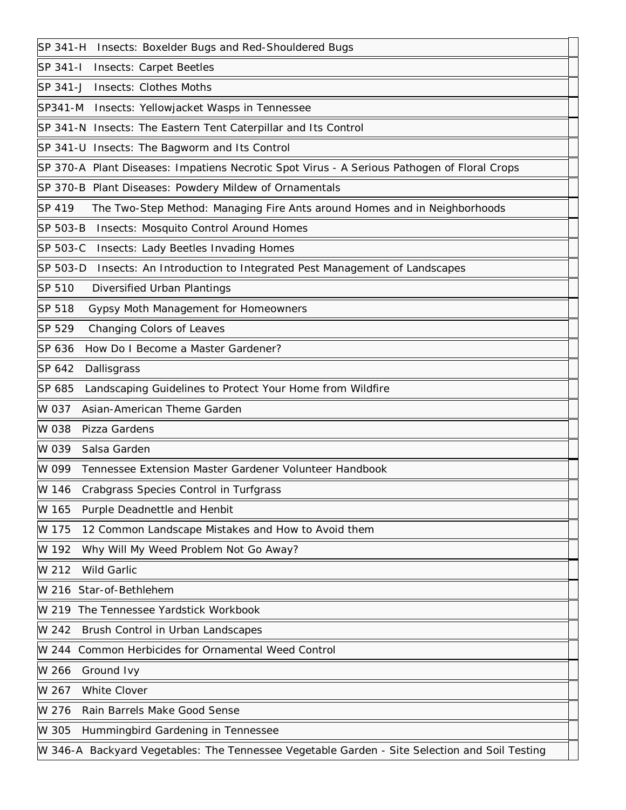| SP 341-H<br>Insects: Boxelder Bugs and Red-Shouldered Bugs                                    |
|-----------------------------------------------------------------------------------------------|
| SP 341-I<br><b>Insects: Carpet Beetles</b>                                                    |
| <b>Insects: Clothes Moths</b><br>SP 341-J                                                     |
| SP341-M<br>Insects: Yellowjacket Wasps in Tennessee                                           |
| SP 341-N Insects: The Eastern Tent Caterpillar and Its Control                                |
| SP 341-U Insects: The Bagworm and Its Control                                                 |
| SP 370-A Plant Diseases: Impatiens Necrotic Spot Virus - A Serious Pathogen of Floral Crops   |
| SP 370-B Plant Diseases: Powdery Mildew of Ornamentals                                        |
| SP 419<br>The Two-Step Method: Managing Fire Ants around Homes and in Neighborhoods           |
| SP 503-B<br><b>Insects: Mosquito Control Around Homes</b>                                     |
| SP 503-C<br><b>Insects: Lady Beetles Invading Homes</b>                                       |
| SP 503-D<br>Insects: An Introduction to Integrated Pest Management of Landscapes              |
| SP 510<br><b>Diversified Urban Plantings</b>                                                  |
| SP 518<br>Gypsy Moth Management for Homeowners                                                |
| SP 529<br>Changing Colors of Leaves                                                           |
| SP 636<br>How Do I Become a Master Gardener?                                                  |
| SP 642<br>Dallisgrass                                                                         |
| SP 685<br>Landscaping Guidelines to Protect Your Home from Wildfire                           |
| W 037<br>Asian-American Theme Garden                                                          |
| W 038<br>Pizza Gardens                                                                        |
| W 039<br>Salsa Garden                                                                         |
| W 099<br>Tennessee Extension Master Gardener Volunteer Handbook                               |
| W 146<br>Crabgrass Species Control in Turfgrass                                               |
| W 165<br>Purple Deadnettle and Henbit                                                         |
| 12 Common Landscape Mistakes and How to Avoid them<br>W 175                                   |
| Why Will My Weed Problem Not Go Away?<br>W 192                                                |
| W 212<br><b>Wild Garlic</b>                                                                   |
| W 216 Star-of-Bethlehem                                                                       |
| W 219 The Tennessee Yardstick Workbook                                                        |
| Brush Control in Urban Landscapes<br>W 242                                                    |
| W 244 Common Herbicides for Ornamental Weed Control                                           |
| W 266<br>Ground Ivy                                                                           |
| White Clover<br>W 267                                                                         |
| Rain Barrels Make Good Sense<br>W 276                                                         |
| W 305<br>Hummingbird Gardening in Tennessee                                                   |
| W 346-A Backyard Vegetables: The Tennessee Vegetable Garden - Site Selection and Soil Testing |